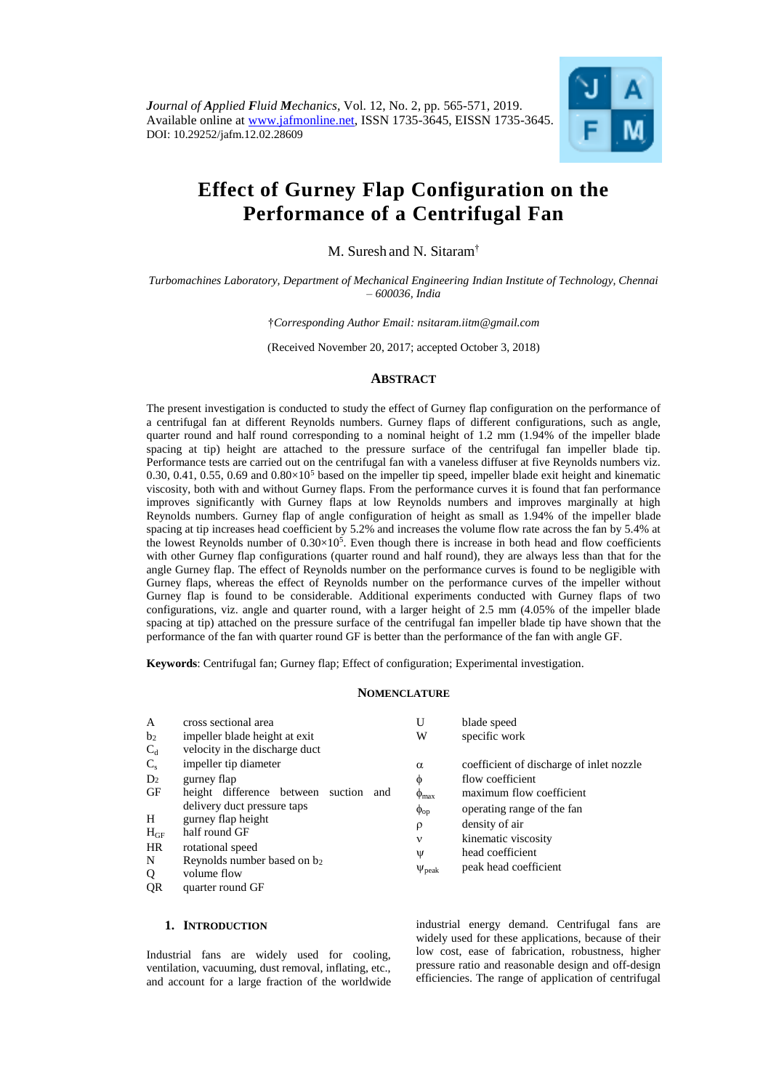

# **Effect of Gurney Flap Configuration on the Performance of a Centrifugal Fan**

M. Suresh and N. Sitaram†

*Turbomachines Laboratory, Department of Mechanical Engineering Indian Institute of Technology, Chennai – 600036, India*

†*Corresponding Author Email: nsitaram.iitm@gmail.com*

(Received November 20, 2017; accepted October 3, 2018)

# **ABSTRACT**

The present investigation is conducted to study the effect of Gurney flap configuration on the performance of a centrifugal fan at different Reynolds numbers. Gurney flaps of different configurations, such as angle, quarter round and half round corresponding to a nominal height of 1.2 mm (1.94% of the impeller blade spacing at tip) height are attached to the pressure surface of the centrifugal fan impeller blade tip. Performance tests are carried out on the centrifugal fan with a vaneless diffuser at five Reynolds numbers viz. 0.30, 0.41, 0.55, 0.69 and  $0.80\times10^5$  based on the impeller tip speed, impeller blade exit height and kinematic viscosity, both with and without Gurney flaps. From the performance curves it is found that fan performance improves significantly with Gurney flaps at low Reynolds numbers and improves marginally at high Reynolds numbers. Gurney flap of angle configuration of height as small as 1.94% of the impeller blade spacing at tip increases head coefficient by 5.2% and increases the volume flow rate across the fan by 5.4% at the lowest Reynolds number of  $0.30 \times 10^5$ . Even though there is increase in both head and flow coefficients with other Gurney flap configurations (quarter round and half round), they are always less than that for the angle Gurney flap. The effect of Reynolds number on the performance curves is found to be negligible with Gurney flaps, whereas the effect of Reynolds number on the performance curves of the impeller without Gurney flap is found to be considerable. Additional experiments conducted with Gurney flaps of two configurations, viz. angle and quarter round, with a larger height of 2.5 mm (4.05% of the impeller blade spacing at tip) attached on the pressure surface of the centrifugal fan impeller blade tip have shown that the performance of the fan with quarter round GF is better than the performance of the fan with angle GF.

**Keywords**: Centrifugal fan; Gurney flap; Effect of configuration; Experimental investigation.

## **NOMENCLATURE**

| A              | cross sectional area                     | U                   | blade speed                              |
|----------------|------------------------------------------|---------------------|------------------------------------------|
| b <sub>2</sub> | impeller blade height at exit            | W                   | specific work                            |
| $C_d$          | velocity in the discharge duct           |                     |                                          |
| $C_{s}$        | impeller tip diameter                    | $\alpha$            | coefficient of discharge of inlet nozzle |
| D <sub>2</sub> | gurney flap                              | Φ                   | flow coefficient                         |
| GF             | height difference between suction<br>and | $\Phi_{\text{max}}$ | maximum flow coefficient                 |
|                | delivery duct pressure taps              | $\phi_{op}$         | operating range of the fan               |
| H              | gurney flap height                       | $\rho$              | density of air                           |
| $H_{GF}$       | half round GF                            | $\mathbf v$         | kinematic viscosity                      |
| HR             | rotational speed                         | Ψ                   | head coefficient                         |
| N              | Reynolds number based on b2              |                     | peak head coefficient                    |
| Q              | volume flow                              | $\Psi_{\rm peak}$   |                                          |
| QR             | quarter round GF                         |                     |                                          |

## **1. INTRODUCTION**

Industrial fans are widely used for cooling, ventilation, vacuuming, dust removal, inflating, etc., and account for a large fraction of the worldwide

industrial energy demand. Centrifugal fans are widely used for these applications, because of their low cost, ease of fabrication, robustness, higher pressure ratio and reasonable design and off-design efficiencies. The range of application of centrifugal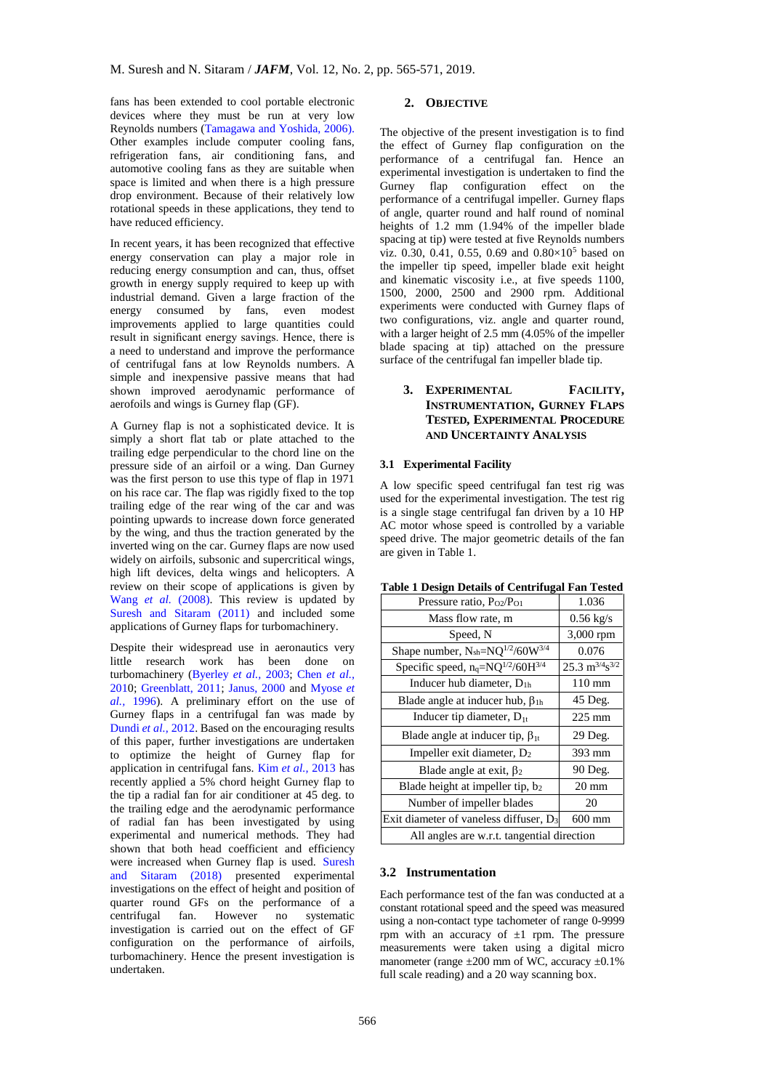fans has been extended to cool portable electronic devices where they must be run at very low Reynolds numbers (Tamagawa and Yoshida, 2006). Other examples include computer cooling fans, refrigeration fans, air conditioning fans, and automotive cooling fans as they are suitable when space is limited and when there is a high pressure drop environment. Because of their relatively low rotational speeds in these applications, they tend to have reduced efficiency.

In recent years, it has been recognized that effective energy conservation can play a major role in reducing energy consumption and can, thus, offset growth in energy supply required to keep up with industrial demand. Given a large fraction of the energy consumed by fans, even modest improvements applied to large quantities could result in significant energy savings. Hence, there is a need to understand and improve the performance of centrifugal fans at low Reynolds numbers. A simple and inexpensive passive means that had shown improved aerodynamic performance of aerofoils and wings is Gurney flap (GF).

A Gurney flap is not a sophisticated device. It is simply a short flat tab or plate attached to the trailing edge perpendicular to the chord line on the pressure side of an airfoil or a wing. Dan Gurney was the first person to use this type of flap in 1971 on his race car. The flap was rigidly fixed to the top trailing edge of the [rear wing](http://en.wikipedia.org/wiki/Wing_%28automotive%29) of the car and was pointing upwards to increase [down force](http://en.wikipedia.org/wiki/Downforce) generated by the wing, and thus the traction generated by the inverted wing on the car. Gurney flaps are now used widely on airfoils, subsonic and supercritical wings, high lift devices, delta wings and helicopters. A review on their scope of applications is given by Wang *et al.* (2008). This review is updated by Suresh and Sitaram (2011) and included some applications of Gurney flaps for turbomachinery.

Despite their widespread use in aeronautics very little research work has been done on turbomachinery (Byerley *et al.,* 2003; Chen *et al.,* 2010; Greenblatt, 2011; Janus, 2000 and Myose *et al.,* 1996). A preliminary effort on the use of Gurney flaps in a centrifugal fan was made by Dundi *et al.,* 2012. Based on the encouraging results of this paper, further investigations are undertaken to optimize the height of Gurney flap for application in centrifugal fans. Kim *et al.,* 2013 has recently applied a 5% chord height Gurney flap to the tip a radial fan for air conditioner at 45 deg. to the trailing edge and the aerodynamic performance of radial fan has been investigated by using experimental and numerical methods. They had shown that both head coefficient and efficiency were increased when Gurney flap is used. Suresh and Sitaram (2018) presented experimental investigations on the effect of height and position of quarter round GFs on the performance of a centrifugal fan. However no systematic investigation is carried out on the effect of GF configuration on the performance of airfoils, turbomachinery. Hence the present investigation is undertaken.

## **2. OBJECTIVE**

The objective of the present investigation is to find the effect of Gurney flap configuration on the performance of a centrifugal fan. Hence an experimental investigation is undertaken to find the Gurney flap configuration effect on the performance of a centrifugal impeller. Gurney flaps of angle, quarter round and half round of nominal heights of 1.2 mm (1.94% of the impeller blade spacing at tip) were tested at five Reynolds numbers viz. 0.30, 0.41, 0.55, 0.69 and  $0.80 \times 10^5$  based on the impeller tip speed, impeller blade exit height and kinematic viscosity i.e., at five speeds 1100, 1500, 2000, 2500 and 2900 rpm. Additional experiments were conducted with Gurney flaps of two configurations, viz. angle and quarter round, with a larger height of 2.5 mm (4.05% of the impeller blade spacing at tip) attached on the pressure surface of the centrifugal fan impeller blade tip.

# **3. EXPERIMENTAL FACILITY, INSTRUMENTATION, GURNEY FLAPS TESTED, EXPERIMENTAL PROCEDURE AND UNCERTAINTY ANALYSIS**

## **3.1 Experimental Facility**

A low specific speed centrifugal fan test rig was used for the experimental investigation. The test rig is a single stage centrifugal fan driven by a 10 HP AC motor whose speed is controlled by a variable speed drive. The major geometric details of the fan are given in Table 1.

| <b>Table 1 Design Details of Centrifugal Fan Tested</b>    |       |
|------------------------------------------------------------|-------|
| $D_{\text{max}}$ and $D_{\text{max}}$ and $D_{\text{max}}$ | 1.025 |

| Pressure ratio, P <sub>O2</sub> /P <sub>O1</sub>   | 1.036                                 |  |  |  |
|----------------------------------------------------|---------------------------------------|--|--|--|
| Mass flow rate, m                                  | $0.56$ kg/s                           |  |  |  |
| Speed, N                                           | 3,000 rpm                             |  |  |  |
| Shape number, $N_{\text{sh}} = NQ^{1/2}/60W^{3/4}$ | 0.076                                 |  |  |  |
| Specific speed, $n_q = NQ^{1/2}/60H^{3/4}$         | $25.3 \text{ m}^{3/4} \text{s}^{3/2}$ |  |  |  |
| Inducer hub diameter, $D_{1h}$                     | $110 \text{ mm}$                      |  |  |  |
| Blade angle at inducer hub, $\beta_{1h}$           | 45 Deg.                               |  |  |  |
| Inducer tip diameter, $D_{1t}$                     | $225 \text{ mm}$                      |  |  |  |
| Blade angle at inducer tip, $\beta_{1t}$           | 29 Deg.                               |  |  |  |
| Impeller exit diameter, D <sub>2</sub>             | 393 mm                                |  |  |  |
| Blade angle at exit, $\beta_2$                     | 90 Deg.                               |  |  |  |
| Blade height at impeller tip, b2                   | $20 \text{ mm}$                       |  |  |  |
| Number of impeller blades                          | 20                                    |  |  |  |
| Exit diameter of vaneless diffuser, D <sub>3</sub> | 600 mm                                |  |  |  |
| All angles are w.r.t. tangential direction         |                                       |  |  |  |

## **3.2 Instrumentation**

Each performance test of the fan was conducted at a constant rotational speed and the speed was measured using a non-contact type tachometer of range 0-9999 rpm with an accuracy of  $\pm 1$  rpm. The pressure measurements were taken using a digital micro manometer (range  $\pm 200$  mm of WC, accuracy  $\pm 0.1\%$ full scale reading) and a 20 way scanning box.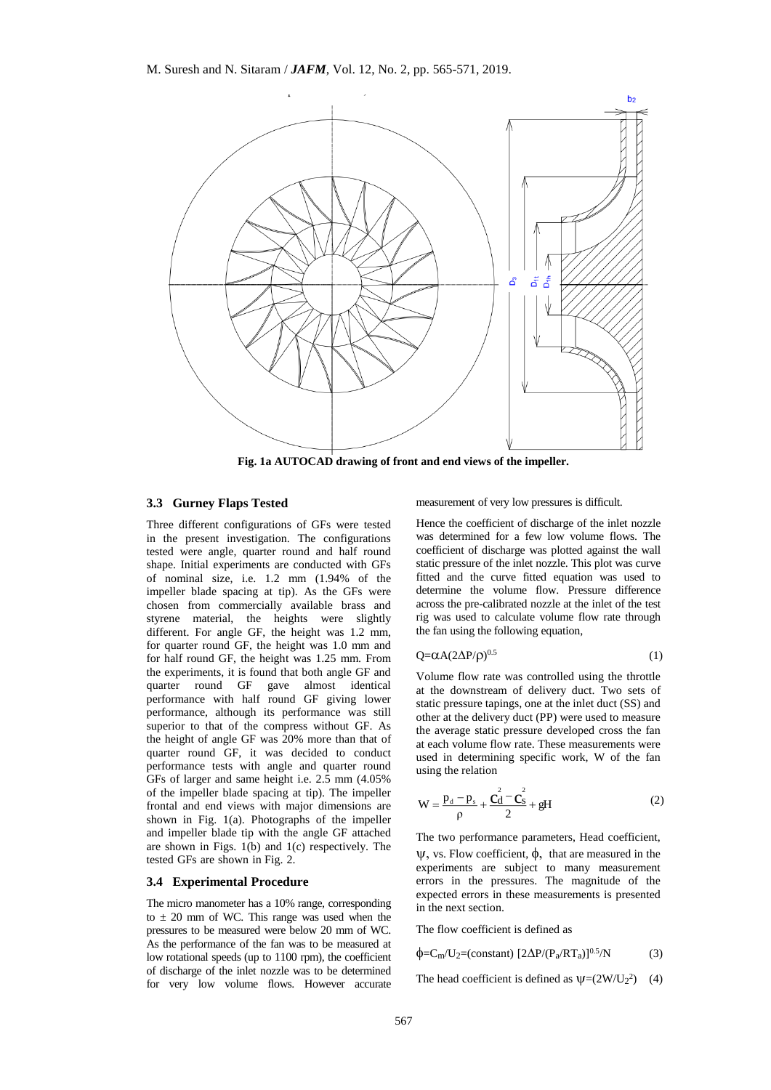

**Fig. 1a AUTOCAD drawing of front and end views of the impeller.**

## **3.3 Gurney Flaps Tested**

Three different configurations of GFs were tested in the present investigation. The configurations tested were angle, quarter round and half round shape. Initial experiments are conducted with GFs of nominal size, i.e. 1.2 mm (1.94% of the impeller blade spacing at tip). As the GFs were chosen from commercially available brass and styrene material, the heights were slightly different. For angle GF, the height was 1.2 mm, for quarter round GF, the height was 1.0 mm and for half round GF, the height was 1.25 mm. From the experiments, it is found that both angle GF and quarter round GF gave almost identical performance with half round GF giving lower performance, although its performance was still superior to that of the compress without GF. As the height of angle GF was 20% more than that of quarter round GF, it was decided to conduct performance tests with angle and quarter round GFs of larger and same height i.e. 2.5 mm (4.05% of the impeller blade spacing at tip). The impeller frontal and end views with major dimensions are shown in Fig.  $1(a)$ . Photographs of the impeller and impeller blade tip with the angle GF attached are shown in Figs.  $1(b)$  and  $1(c)$  respectively. The tested GFs are shown in Fig. 2.

#### **3.4 Experimental Procedure**

The micro manometer has a 10% range, corresponding to  $\pm$  20 mm of WC. This range was used when the pressures to be measured were below 20 mm of WC. As the performance of the fan was to be measured at low rotational speeds (up to 1100 rpm), the coefficient of discharge of the inlet nozzle was to be determined for very low volume flows. However accurate measurement of very low pressures is difficult.

Hence the coefficient of discharge of the inlet nozzle was determined for a few low volume flows. The coefficient of discharge was plotted against the wall static pressure of the inlet nozzle. This plot was curve fitted and the curve fitted equation was used to determine the volume flow. Pressure difference across the pre-calibrated nozzle at the inlet of the test rig was used to calculate volume flow rate through the fan using the following equation,

$$
Q = \alpha A (2\Delta P/\rho)^{0.5}
$$
 (1)

Volume flow rate was controlled using the throttle at the downstream of delivery duct. Two sets of static pressure tapings, one at the inlet duct (SS) and other at the delivery duct (PP) were used to measure the average static pressure developed cross the fan at each volume flow rate. These measurements were used in determining specific work, W of the fan using the relation

$$
W = \frac{p_d - p_s}{\rho} + \frac{C_d^2 - C_s^2}{2} + gH
$$
 (2)

The two performance parameters, Head coefficient,  $\psi$ , vs. Flow coefficient,  $\phi$ , that are measured in the experiments are subject to many measurement errors in the pressures. The magnitude of the expected errors in these measurements is presented in the next section.

The flow coefficient is defined as

$$
\phi = C_{m}/U_{2} = (constant) \left[2\Delta P/(P_{a}/RT_{a})\right]^{0.5}/N \tag{3}
$$

The head coefficient is defined as  $\psi = (2W/U_2^2)$  (4)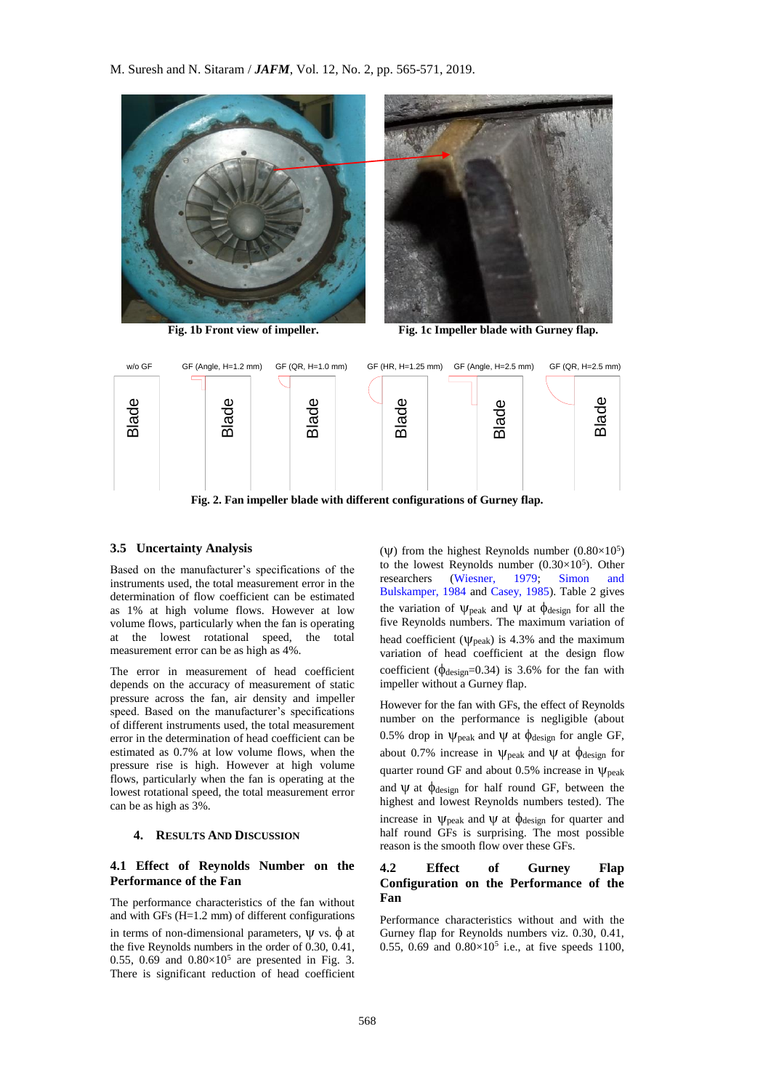M. Suresh and N. Sitaram / *JAFM*, Vol. 12, No. 2, pp. 565-571, 2019.





**Fig. 1b Front view of impeller. Fig. 1c Impeller blade with Gurney flap.**



**Fig. 2. Fan impeller blade with different configurations of Gurney flap.**

## **3.5 Uncertainty Analysis**

Based on the manufacturer's specifications of the instruments used, the total measurement error in the determination of flow coefficient can be estimated as 1% at high volume flows. However at low volume flows, particularly when the fan is operating at the lowest rotational speed, the total measurement error can be as high as 4%.

The error in measurement of head coefficient depends on the accuracy of measurement of static pressure across the fan, air density and impeller speed. Based on the manufacturer's specifications of different instruments used, the total measurement error in the determination of head coefficient can be estimated as 0.7% at low volume flows, when the pressure rise is high. However at high volume flows, particularly when the fan is operating at the lowest rotational speed, the total measurement error can be as high as 3%.

## **4. RESULTS AND DISCUSSION**

## **4.1 Effect of Reynolds Number on the Performance of the Fan**

The performance characteristics of the fan without and with GFs (H=1.2 mm) of different configurations in terms of non-dimensional parameters,  $\Psi$  vs.  $\phi$  at the five Reynolds numbers in the order of 0.30, 0.41, 0.55, 0.69 and  $0.80 \times 10^5$  are presented in Fig. 3. There is significant reduction of head coefficient

( $\Psi$ ) from the highest Reynolds number (0.80×10<sup>5</sup>) to the lowest Reynolds number  $(0.30 \times 10^5)$ . Other researchers (Wiesner, 1979; Simon and Bulskamper, 1984 and Casey, 1985). Table 2 gives the variation of  $\psi_{\text{peak}}$  and  $\psi$  at  $\phi_{\text{design}}$  for all the five Reynolds numbers. The maximum variation of head coefficient ( $\psi_{\text{neak}}$ ) is 4.3% and the maximum variation of head coefficient at the design flow coefficient ( $\phi_{\text{design}}=0.34$ ) is 3.6% for the fan with impeller without a Gurney flap.

However for the fan with GFs, the effect of Reynolds number on the performance is negligible (about 0.5% drop in  $\psi_{\text{peak}}$  and  $\psi$  at  $\phi_{\text{design}}$  for angle GF, about 0.7% increase in  $\psi_{\text{peak}}$  and  $\psi$  at  $\phi_{\text{design}}$  for quarter round GF and about 0.5% increase in  $\psi_{\rm peak}$ and  $\Psi$  at  $\phi$ <sub>design</sub> for half round GF, between the highest and lowest Reynolds numbers tested). The increase in  $\psi_{\text{peak}}$  and  $\psi$  at  $\phi_{\text{design}}$  for quarter and half round GFs is surprising. The most possible reason is the smooth flow over these GFs.

# **4.2 Effect of Gurney Flap Configuration on the Performance of the Fan**

Performance characteristics without and with the Gurney flap for Reynolds numbers viz. 0.30, 0.41, 0.55, 0.69 and  $0.80 \times 10^5$  i.e., at five speeds 1100,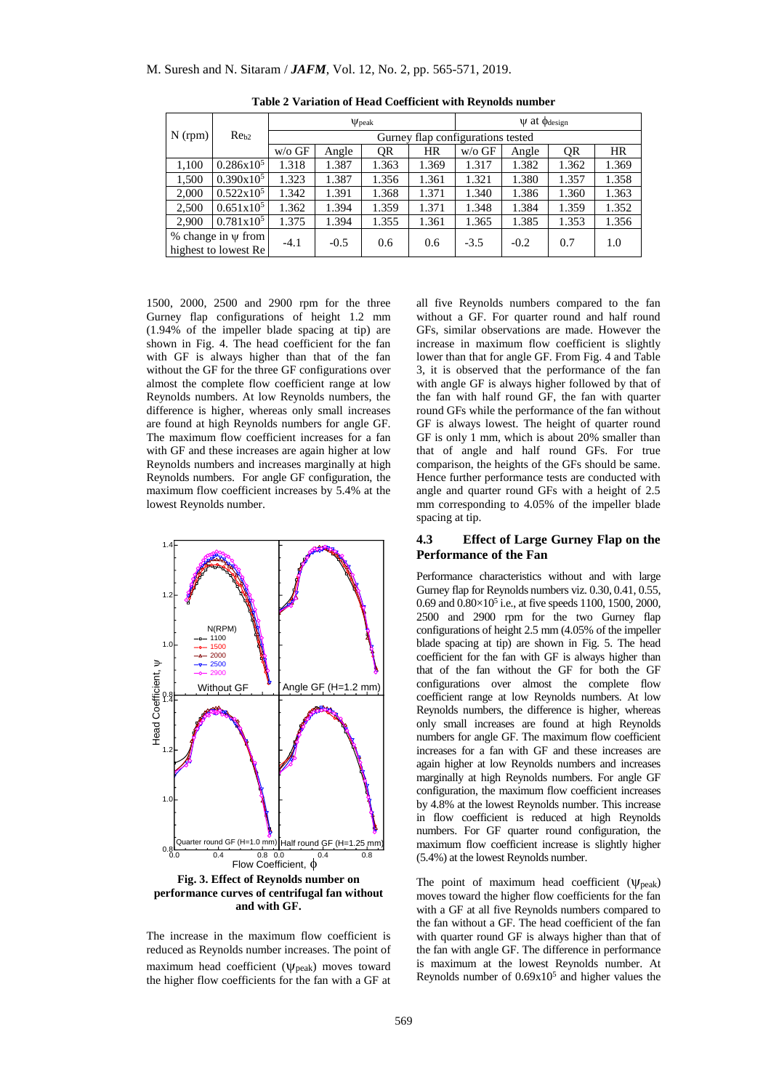|                                                 | Re <sub>b2</sub>    | $\Psi$ peak                       |        |       | $\Psi$ at $\phi$ <sub>design</sub> |          |        |       |           |
|-------------------------------------------------|---------------------|-----------------------------------|--------|-------|------------------------------------|----------|--------|-------|-----------|
| $N$ (rpm)                                       |                     | Gurney flap configurations tested |        |       |                                    |          |        |       |           |
|                                                 |                     | $w/o$ GF                          | Angle  | QR    | <b>HR</b>                          | $w/o$ GF | Angle  | QR    | <b>HR</b> |
| 1,100                                           | $0.286x10^5$        | 1.318                             | 1.387  | 1.363 | 1.369                              | 1.317    | 1.382  | 1.362 | 1.369     |
| 1,500                                           | $0.390x10^5$        | 1.323                             | 1.387  | 1.356 | 1.361                              | 1.321    | 1.380  | 1.357 | 1.358     |
| 2,000                                           | $0.522 \times 10^5$ | 1.342                             | 1.391  | 1.368 | 1.371                              | 1.340    | 1.386  | 1.360 | 1.363     |
| 2,500                                           | $0.651 \times 10^5$ | 1.362                             | 1.394  | 1.359 | 1.371                              | 1.348    | 1.384  | 1.359 | 1.352     |
| 2,900                                           | $0.781 \times 10^5$ | 1.375                             | 1.394  | 1.355 | 1.361                              | 1.365    | 1.385  | 1.353 | 1.356     |
| % change in $\psi$ from<br>highest to lowest Re |                     | $-4.1$                            | $-0.5$ | 0.6   | 0.6                                | $-3.5$   | $-0.2$ | 0.7   | 1.0       |

**Table 2 Variation of Head Coefficient with Reynolds number**

1500, 2000, 2500 and 2900 rpm for the three Gurney flap configurations of height 1.2 mm (1.94% of the impeller blade spacing at tip) are shown in Fig. 4. The head coefficient for the fan with GF is always higher than that of the fan without the GF for the three GF configurations over almost the complete flow coefficient range at low Reynolds numbers. At low Reynolds numbers, the difference is higher, whereas only small increases are found at high Reynolds numbers for angle GF. The maximum flow coefficient increases for a fan with GF and these increases are again higher at low Reynolds numbers and increases marginally at high Reynolds numbers. For angle GF configuration, the maximum flow coefficient increases by 5.4% at the lowest Reynolds number.



The increase in the maximum flow coefficient is reduced as Reynolds number increases. The point of maximum head coefficient ( $\psi_{\text{peak}}$ ) moves toward the higher flow coefficients for the fan with a GF at

all five Reynolds numbers compared to the fan without a GF. For quarter round and half round GFs, similar observations are made. However the increase in maximum flow coefficient is slightly lower than that for angle GF. From Fig. 4 and Table 3, it is observed that the performance of the fan with angle GF is always higher followed by that of the fan with half round GF, the fan with quarter round GFs while the performance of the fan without GF is always lowest. The height of quarter round GF is only 1 mm, which is about 20% smaller than that of angle and half round GFs. For true comparison, the heights of the GFs should be same. Hence further performance tests are conducted with angle and quarter round GFs with a height of 2.5 mm corresponding to 4.05% of the impeller blade spacing at tip.

## **4.3 Effect of Large Gurney Flap on the Performance of the Fan**

Performance characteristics without and with large Gurney flap for Reynolds numbers viz. 0.30, 0.41, 0.55, 0.69 and  $0.80 \times 10^5$  i.e., at five speeds 1100, 1500, 2000, 2500 and 2900 rpm for the two Gurney flap configurations of height 2.5 mm (4.05% of the impeller blade spacing at tip) are shown in Fig. 5. The head coefficient for the fan with GF is always higher than that of the fan without the GF for both the GF configurations over almost the complete flow coefficient range at low Reynolds numbers. At low Reynolds numbers, the difference is higher, whereas only small increases are found at high Reynolds numbers for angle GF. The maximum flow coefficient increases for a fan with GF and these increases are again higher at low Reynolds numbers and increases marginally at high Reynolds numbers. For angle GF configuration, the maximum flow coefficient increases by 4.8% at the lowest Reynolds number. This increase in flow coefficient is reduced at high Reynolds numbers. For GF quarter round configuration, the maximum flow coefficient increase is slightly higher (5.4%) at the lowest Reynolds number.

The point of maximum head coefficient  $(\psi_{\text{peak}})$ moves toward the higher flow coefficients for the fan with a GF at all five Reynolds numbers compared to the fan without a GF. The head coefficient of the fan with quarter round GF is always higher than that of the fan with angle GF. The difference in performance is maximum at the lowest Reynolds number. At Reynolds number of  $0.69x10<sup>5</sup>$  and higher values the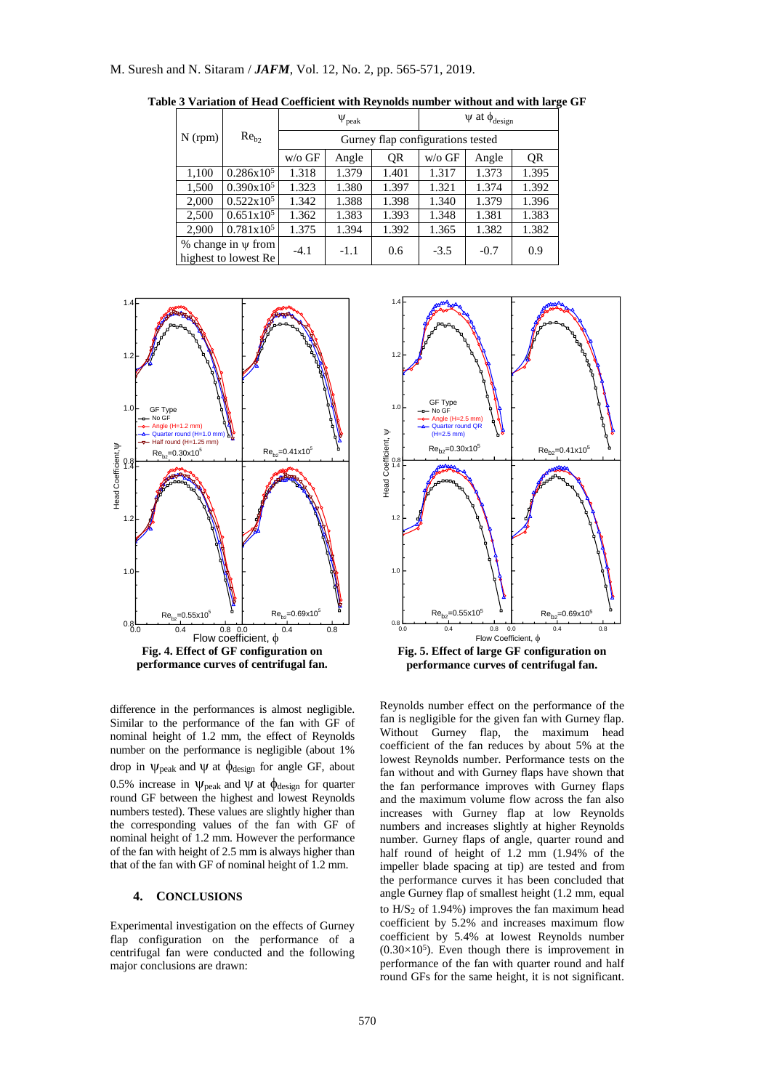|           | $Re_b$                                          |                                   | $\Psi_{\rm peak}$ |       | $\psi$ at $\phi_{\text{design}}$ |        |       |  |
|-----------|-------------------------------------------------|-----------------------------------|-------------------|-------|----------------------------------|--------|-------|--|
| $N$ (rpm) |                                                 | Gurney flap configurations tested |                   |       |                                  |        |       |  |
|           |                                                 | $w$ /o GF                         | Angle             | QR    | $w$ /o GF                        | Angle  | QR    |  |
| 1,100     | $0.286x10^5$                                    | 1.318                             | 1.379             | 1.401 | 1.317                            | 1.373  | 1.395 |  |
| 1,500     | $0.390x10^5$                                    | 1.323                             | 1.380             | 1.397 | 1.321                            | 1.374  | 1.392 |  |
| 2,000     | $0.522 \times 10^5$                             | 1.342                             | 1.388             | 1.398 | 1.340                            | 1.379  | 1.396 |  |
| 2,500     | $0.651x10^5$                                    | 1.362                             | 1.383             | 1.393 | 1.348                            | 1.381  | 1.383 |  |
| 2,900     | $0.781x10^5$                                    | 1.375                             | 1.394             | 1.392 | 1.365                            | 1.382  | 1.382 |  |
|           | % change in $\psi$ from<br>highest to lowest Re | $-4.1$                            | $-1.1$            | 0.6   | $-3.5$                           | $-0.7$ | 0.9   |  |

**Table 3 Variation of Head Coefficient with Reynolds number without and with large GF**





difference in the performances is almost negligible. Similar to the performance of the fan with GF of nominal height of 1.2 mm, the effect of Reynolds number on the performance is negligible (about 1% drop in  $\psi$  peak and  $\psi$  at  $\phi$  design for angle GF, about 0.5% increase in  $\psi_{\text{peak}}$  and  $\psi$  at  $\phi_{\text{design}}$  for quarter round GF between the highest and lowest Reynolds numbers tested). These values are slightly higher than the corresponding values of the fan with GF of nominal height of 1.2 mm. However the performance of the fan with height of 2.5 mm is always higher than that of the fan with GF of nominal height of 1.2 mm.

## **4. CONCLUSIONS**

Experimental investigation on the effects of Gurney flap configuration on the performance of a centrifugal fan were conducted and the following major conclusions are drawn:

Reynolds number effect on the performance of the fan is negligible for the given fan with Gurney flap. Without Gurney flap, the maximum head coefficient of the fan reduces by about 5% at the lowest Reynolds number. Performance tests on the fan without and with Gurney flaps have shown that the fan performance improves with Gurney flaps and the maximum volume flow across the fan also increases with Gurney flap at low Reynolds numbers and increases slightly at higher Reynolds number. Gurney flaps of angle, quarter round and half round of height of 1.2 mm (1.94% of the impeller blade spacing at tip) are tested and from the performance curves it has been concluded that angle Gurney flap of smallest height (1.2 mm, equal to  $H/S<sub>2</sub>$  of 1.94%) improves the fan maximum head coefficient by 5.2% and increases maximum flow coefficient by 5.4% at lowest Reynolds number  $(0.30\times10^5)$ . Even though there is improvement in performance of the fan with quarter round and half round GFs for the same height, it is not significant.